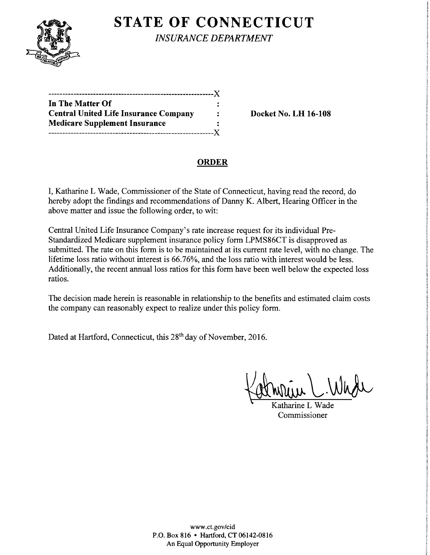

**STATE OF CONNECTICUT** 

*INSURANCE DEPARTMENT* 

| In The Matter Of                             |   |
|----------------------------------------------|---|
| <b>Central United Life Insurance Company</b> |   |
| <b>Medicare Supplement Insurance</b>         |   |
|                                              | X |

**Central United Life Insurance Company Docket** No. **LH 16-108** 

## **ORDER**

I, Katharine L Wade, Commissioner of the State of Connecticut, having read the record, do hereby adopt the findings and recommendations of Danny K. Albert, Hearing Officer in the above matter and issue the following order, to wit:

Central United Life Insurance Company's rate increase request for its individual Pre-Standardized Medicare supplement insurance policy form LPMS86CT is disapproved as submitted. The rate on this form is to be maintained at its current rate level, with no change. The lifetime loss ratio without interest is 66.76%, and the loss ratio with interest would be less. Additionally, the recent annual loss ratios for this form have been well below the expected loss ratios.

The decision made herein is reasonable in relationship to the benefits and estimated claim costs the company can reasonably expect to realize under this policy form.

Dated at Hartford, Connecticut, this 28<sup>th</sup> day of November, 2016.

Katherin C. Whose

tharine L Commissioner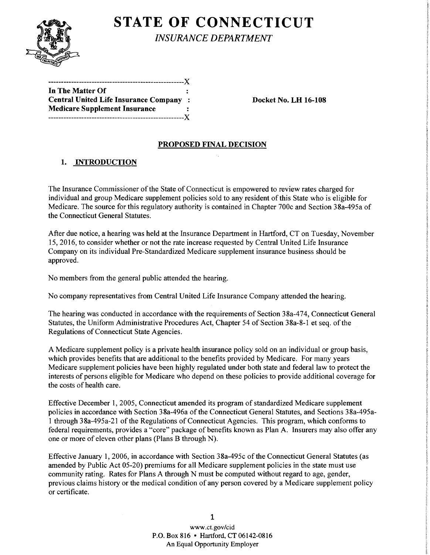

# **STATE OF CONNECTICUT**

*INSURANCE DEPARTMENT* 

| In The Matter Of                       |  |
|----------------------------------------|--|
| Central United Life Insurance Company: |  |
| <b>Medicare Supplement Insurance</b>   |  |
| ----------------------------X          |  |

Docket No. LH 16-108

### PROPOSED FINAL DECISION

## 1. INTRODUCTION

The Insurance Commissioner of the State of Connecticut is empowered to review rates charged for individual and group Medicare supplement policies sold to any resident of this State who is eligible for Medicare. The source for this regulatory authority is contained in Chapter 700c and Section 38a-495a of the Connecticut General Statutes.

After due notice, a hearing was held at the Insurance Department in Hartford, CT on Tuesday, November 15, 2016, to consider whether or not the rate increase requested by Central United Life Insurance Company on its individual Pre-Standardized Medicare supplement insurance business should be approved.

No members from the general public attended the hearing.

No company representatives from Central United Life Insurance Company attended the hearing.

The hearing was conducted in accordance with the requirements of Section 38a-474, Connecticut General Statutes, the Uniform Administrative Procedures Act, Chapter 54 of Section 38a-8-1 et seq. of the Regulations of Connecticut State Agencies.

A Medicare supplement policy is a private health insurance policy sold on an individual or group basis, which provides benefits that are additional to the benefits provided by Medicare. For many years Medicare supplement policies have been highly regulated under both state and federal law to protect the interests of persons eligible for Medicare who depend on these policies to provide additional coverage for the costs of health care.

Effective December 1, 2005, Connecticut amended its program of standardized Medicare supplement policies in accordance with Section 38a-496a of the Connecticut General Statutes, and Sections 38a-495a-1 through 38a-495a-21 of the Regulations of Connecticut Agencies. This program, which conforms to federal requirements, provides a "core" package of benefits known as Plan A. Insurers may also offer any one or more of eleven other plans (Plans B through N).

Effective January 1, 2006, in accordance with Section 38a-495c of the Connecticut General Statutes (as amended by Public Act 05-20) premiums for all Medicare supplement policies in the state must use community rating. Rates for Plans A through N must be computed without regard to age, gender, previous claims history or the medical condition of any person covered by a Medicare supplement policy or certificate.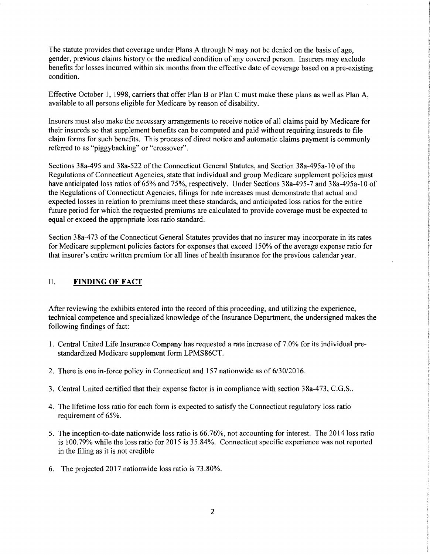The statute provides that coverage under Plans A through N may not be denied on the basis of age, gender, previous claims history or the medical condition of any covered person. Insurers may exclude benefits for losses incurred within six months from the effective date of coverage based on a pre-existing condition.

Effective October 1, 1998, carriers that offer Plan B or Plan C must make these plans as well as Plan A, available to all persons eligible for Medicare by reason of disability.

Insurers must also make the necessary arrangements to receive notice of all claims paid by Medicare for their insureds so that supplement benefits can be computed and paid without requiring insureds to file claim forms for such benefits. This process of direct notice and automatic claims payment is commonly referred to as "piggybacking" or "crossover".

Sections 38a-495 and 38a-522 of the Connecticut General Statutes, and Section 38a-495a-10 of the Regulations of Connecticut Agencies, state that individual and group Medicare supplement policies must have anticipated loss ratios of 65% and 75%, respectively. Under Sections 38a-495-7 and 38a-495a-10 of the Regulations of Connecticut Agencies, filings for rate increases must demonstrate that actual and expected losses in relation to premiums meet these standards, and anticipated loss ratios for the entire future period for which the requested premiums are calculated to provide coverage must be expected to equal or exceed the appropriate loss ratio standard.

Section 38a-473 of the Connecticut General Statutes provides that no insurer may incorporate in its rates for Medicare supplement policies factors for expenses that exceed 150% of the average expense ratio for that insurer's entire written premium for all lines of health insurance for the previous calendar year.

#### II. FINDING OF FACT

After reviewing the exhibits entered into the record of this proceeding, and utilizing the experience, technical competence and specialized knowledge of the Insurance Department, the undersigned makes the following findings of fact:

- 1. Central United Life Insurance Company has requested a rate increase of 7.0% for its individual prestandardized Medicare supplement form LPMS86CT.
- 2. There is one in-force policy in Connecticut and 157 nationwide as of  $6/30/2016$ .
- 3. Central United certified that their expense factor is in compliance with section 38a-473, C.G.S ..
- 4. The lifetime loss ratio for each form is expected to satisfy the Connecticut regulatory loss ratio requirement of 65%.
- 5. The inception-to-date nationwide loss ratio is 66.76%, not accounting for interest. The 2014 loss ratio is 100.79% while the loss ratio for 2015 is 35.84%. Connecticut specific experience was not reported in the filing as it is not credible
- 6. The projected 2017 nationwide loss ratio is 73.80%.